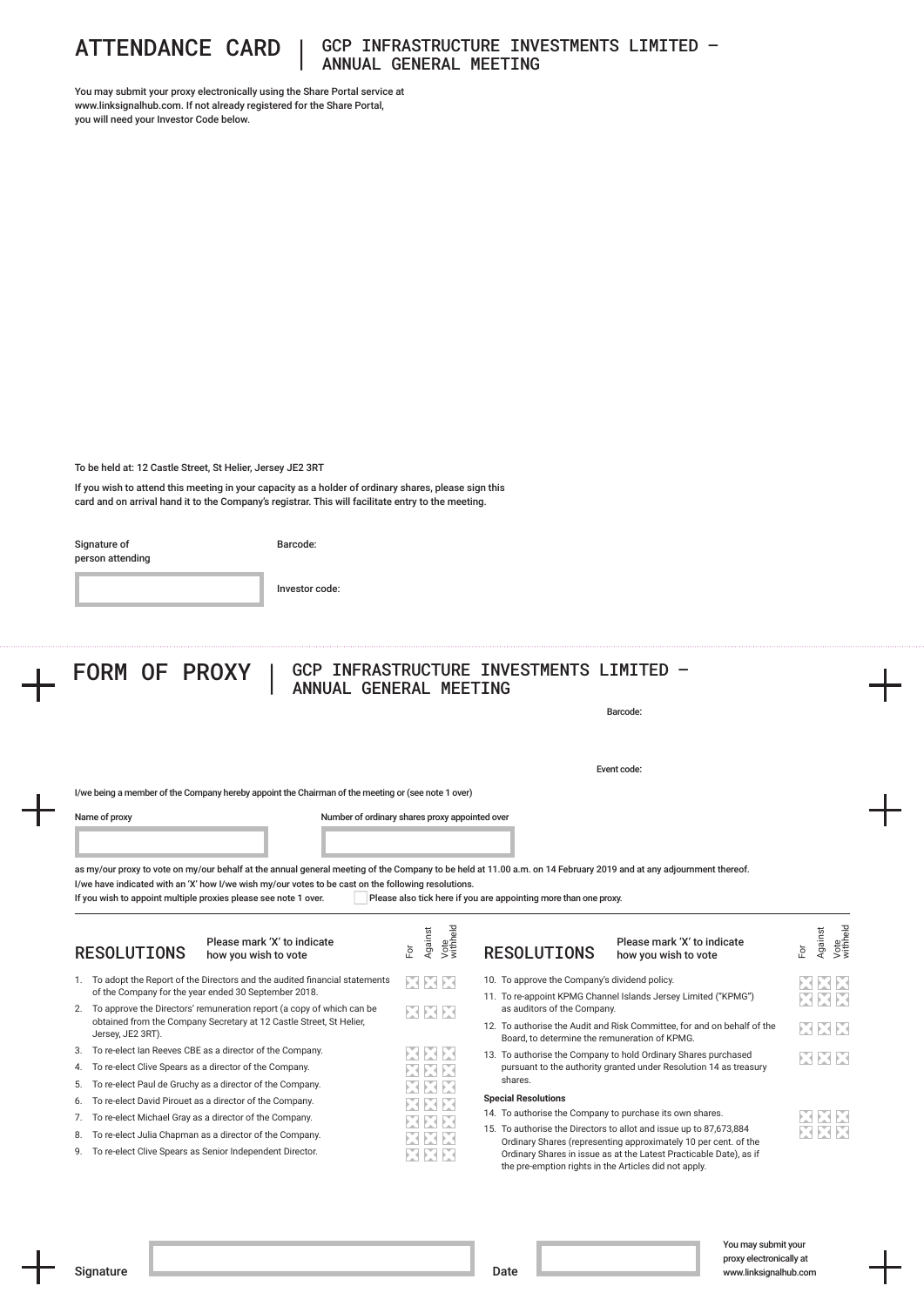

## ATTENDANCE CARD | GCP INFRASTRUCTURE INVESTMENTS LIMITED – ANNUAL GENERAL MEETING

You may submit your proxy electronically using the Share Portal service at www.linksignalhub.com. If not already registered for the Share Portal, you will need your Investor Code below.

To be held at: 12 Castle Street, St Helier, Jersey JE2 3RT

If you wish to attend this meeting in your capacity as a holder of ordinary shares, please sign this card and on arrival hand it to the Company's registrar. This will facilitate entry to the meeting.

Signature of

Barcode:

| person attending |  |
|------------------|--|
|                  |  |
|                  |  |

Investor code:

|    |                                                                                                                                                                    |                                  |                                                                  | Barcode:                                                                                                                              |                                    |  |  |
|----|--------------------------------------------------------------------------------------------------------------------------------------------------------------------|----------------------------------|------------------------------------------------------------------|---------------------------------------------------------------------------------------------------------------------------------------|------------------------------------|--|--|
|    |                                                                                                                                                                    |                                  |                                                                  | Event code:                                                                                                                           |                                    |  |  |
|    | I/we being a member of the Company hereby appoint the Chairman of the meeting or (see note 1 over)                                                                 |                                  |                                                                  |                                                                                                                                       |                                    |  |  |
|    | Name of proxy<br>Number of ordinary shares proxy appointed over                                                                                                    |                                  |                                                                  |                                                                                                                                       |                                    |  |  |
|    |                                                                                                                                                                    |                                  |                                                                  |                                                                                                                                       |                                    |  |  |
|    |                                                                                                                                                                    |                                  |                                                                  |                                                                                                                                       |                                    |  |  |
|    | as my/our proxy to vote on my/our behalf at the annual general meeting of the Company to be held at 11.00 a.m. on 14 February 2019 and at any adjournment thereof. |                                  |                                                                  |                                                                                                                                       |                                    |  |  |
|    | I/we have indicated with an 'X' how I/we wish my/our votes to be cast on the following resolutions.                                                                |                                  |                                                                  |                                                                                                                                       |                                    |  |  |
|    | If you wish to appoint multiple proxies please see note 1 over.                                                                                                    |                                  | Please also tick here if you are appointing more than one proxy. |                                                                                                                                       |                                    |  |  |
|    |                                                                                                                                                                    |                                  |                                                                  |                                                                                                                                       |                                    |  |  |
|    | Please mark 'X' to indicate<br><b>RESOLUTIONS</b><br>how you wish to vote                                                                                          | Against<br>Vote<br>withheld<br>ă | <b>RESOLUTIONS</b>                                               | Please mark 'X' to indicate<br>how you wish to vote                                                                                   | Vote<br>withheld<br>Against<br>For |  |  |
|    | 1. To adopt the Report of the Directors and the audited financial statements                                                                                       |                                  | 10. To approve the Company's dividend policy.                    |                                                                                                                                       |                                    |  |  |
|    | of the Company for the year ended 30 September 2018.                                                                                                               | XXX                              |                                                                  | 11. To re-appoint KPMG Channel Islands Jersey Limited ("KPMG")                                                                        | SER                                |  |  |
|    | 2. To approve the Directors' remuneration report (a copy of which can be                                                                                           | XXX                              | as auditors of the Company.                                      |                                                                                                                                       | XXX                                |  |  |
|    | obtained from the Company Secretary at 12 Castle Street, St Helier,<br>Jersey, JE2 3RT).                                                                           |                                  |                                                                  | 12. To authorise the Audit and Risk Committee, for and on behalf of the                                                               | XXX                                |  |  |
| 3. | To re-elect Ian Reeves CBE as a director of the Company.                                                                                                           |                                  | Board, to determine the remuneration of KPMG.                    |                                                                                                                                       |                                    |  |  |
| 4. | To re-elect Clive Spears as a director of the Company.                                                                                                             | EN EN EN                         |                                                                  | 13. To authorise the Company to hold Ordinary Shares purchased<br>pursuant to the authority granted under Resolution 14 as treasury   | XXX                                |  |  |
| 5. | To re-elect Paul de Gruchy as a director of the Company.                                                                                                           |                                  | shares.                                                          |                                                                                                                                       |                                    |  |  |
| 6. | To re-elect David Pirouet as a director of the Company.                                                                                                            | MENE                             | <b>Special Resolutions</b>                                       |                                                                                                                                       |                                    |  |  |
| 7. | To re-elect Michael Gray as a director of the Company.                                                                                                             |                                  | 14. To authorise the Company to purchase its own shares.         |                                                                                                                                       |                                    |  |  |
| 8. | To re-elect Julia Chapman as a director of the Company.                                                                                                            |                                  |                                                                  | 15. To authorise the Directors to allot and issue up to 87,673,884                                                                    |                                    |  |  |
| 9. | To re-elect Clive Spears as Senior Independent Director.                                                                                                           |                                  |                                                                  | Ordinary Shares (representing approximately 10 per cent. of the<br>Ordinary Shares in issue as at the Latest Practicable Date), as if |                                    |  |  |